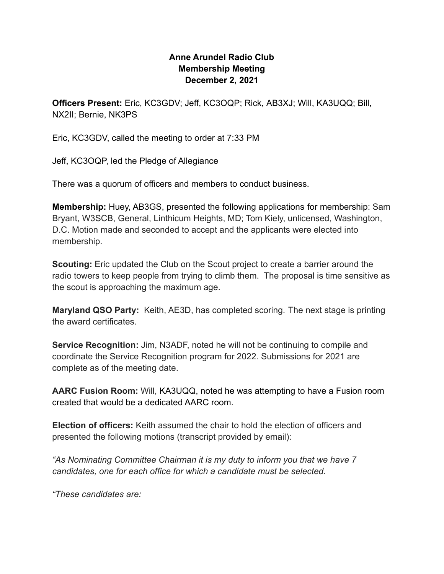## **Anne Arundel Radio Club Membership Meeting December 2, 2021**

**Officers Present:** Eric, KC3GDV; Jeff, KC3OQP; Rick, AB3XJ; Will, KA3UQQ; Bill, NX2II; Bernie, NK3PS

Eric, KC3GDV, called the meeting to order at 7:33 PM

Jeff, KC3OQP, led the Pledge of Allegiance

There was a quorum of officers and members to conduct business.

**Membership:** Huey, AB3GS, presented the following applications for membership: Sam Bryant, W3SCB, General, Linthicum Heights, MD; Tom Kiely, unlicensed, Washington, D.C. Motion made and seconded to accept and the applicants were elected into membership.

**Scouting:** Eric updated the Club on the Scout project to create a barrier around the radio towers to keep people from trying to climb them. The proposal is time sensitive as the scout is approaching the maximum age.

**Maryland QSO Party:** Keith, AE3D, has completed scoring. The next stage is printing the award certificates.

**Service Recognition:** Jim, N3ADF, noted he will not be continuing to compile and coordinate the Service Recognition program for 2022. Submissions for 2021 are complete as of the meeting date.

**AARC Fusion Room:** Will, KA3UQQ, noted he was attempting to have a Fusion room created that would be a dedicated AARC room.

**Election of officers:** Keith assumed the chair to hold the election of officers and presented the following motions (transcript provided by email):

*"As Nominating Committee Chairman it is my duty to inform you that we have 7 candidates, one for each office for which a candidate must be selected.*

*"These candidates are:*